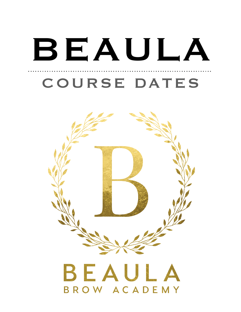# BEAULA COURSE DATES

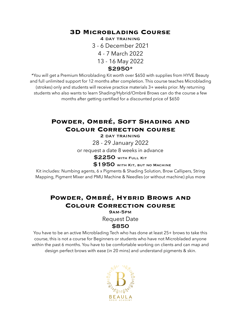#### **3D Microblading Course**

4 day training 3 - 6 December 2021 4 - 7 March 2022 13 - 16 May 2022 \$2950\*

\*You will get a Premium Microblading Kit worth over \$650 with supplies from HYVE Beauty and full unlimited support for 12 months after completion. This course teaches Microblading (strokes) only and students will receive practice materials 3+ weeks prior. My returning students who also wants to learn Shading/Hybrid/Ombré Brows can do the course a few months after getting certified for a discounted price of \$650

# **Powder, Ombré, Soft Shading and Colour Correction course**

2 day training

28 - 29 January 2022

or request a date 8 weeks in advance

\$2250 with Full Kit

**\$1950 with KIT, BUT NO MACHINE** 

Kit includes: Numbing agents, 6 x Pigments & Shading Solution, Brow Callipers, String Mapping, Pigment Mixer and PMU Machine & Needles (or without machine) plus more

## **Powder, Ombré, Hybrid Brows and Colour Correction course**

9am-5pm

Request Date

#### \$850

You have to be an active Microblading Tech who has done at least 25+ brows to take this course, this is not a course for Beginners or students who have not Microbladed anyone within the past 6 months. You have to be comfortable working on clients and can map and design perfect brows with ease (in 20 mins) and understand pigments & skin.

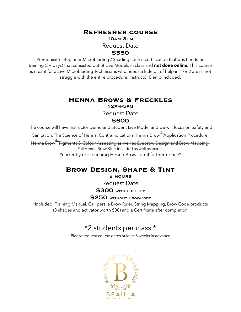#### **Refresher course**

#### 10am-3pm Request Date \$550

Prerequisite - Beginner Microblading / Shading course certification that was hands-on training (3+ days) that consisted out of Live Models in class and **not done online.** This course is meant for active Microblading Technicians who needs a little bit of help in 1 or 2 areas, not struggle with the entire procedure. Instructor Demo included.

#### **Henna Brows & Freckles**

12pm-5pm

Request Date

#### \$600

The course will have Instructor Demo and Student Live Model and we will focus on Safety and

Sanitation, The Science of Henna, Contraindications, Henna Brow® Application Procedure,

Henna Brow® Pigments & Colour Assessing as well as Eyebrow Design and Brow Mapping. Full Henna Brow Kit is included as well as extras.

\*currently not teaching Henna Brows until further notice\*

### **Brow Design, Shape & Tint**

2 hours

Request Date

**\$300 WITH FULL KIT** 

#### \$250 without BrowCode

\*Included: Training Manual, Callipers, a Brow Ruler, String Mapping, Brow Code products (3 shades and activator worth \$80) and a Certificate after completion

# \*2 students per class \*

Please request course dates at least 8 weeks in advance